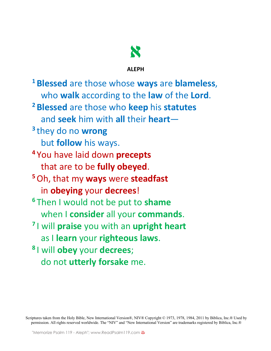

**ALEPH**

**<sup>1</sup> Blessed** are those whose **ways** are **blameless**, who **walk** according to the **law** of the **Lord**. **<sup>2</sup> Blessed** are those who **keep** his **statutes** and **seek** him with **all** their **heart**— **<sup>3</sup>** they do no **wrong** but **follow** his ways. **<sup>4</sup>** You have laid down **precepts** that are to be **fully obeyed**. **<sup>5</sup>**Oh, that my **ways** were **steadfast** in **obeying** your **decrees**! **<sup>6</sup>** Then I would not be put to **shame** when I **consider** all your **commands**. **<sup>7</sup>** I will **praise** you with an **upright heart** as I **learn** your **righteous laws**. **<sup>8</sup>** I will **obey** your **decrees**; do not **utterly forsake** me.

Scriptures taken from the Holy Bible, New International Version®, NIV® Copyright © 1973, 1978, 1984, 2011 by Biblica, Inc.® Used by permission. All rights reserved worldwide. The "NIV" and "New International Version" are trademarks registered by Biblica, Inc.®